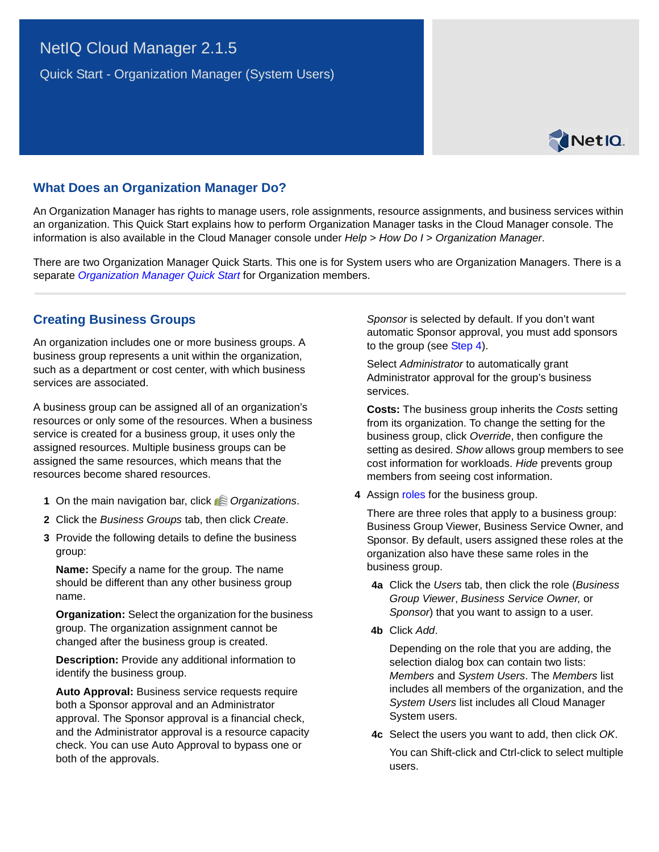# <span id="page-0-0"></span>NetIQ Cloud Manager 2.1.5

Quick Start - Organization Manager (System Users)



### **What Does an Organization Manager Do?**

An Organization Manager has rights to manage users, role assignments, resource assignments, and business services within an organization. This Quick Start explains how to perform Organization Manager tasks in the Cloud Manager console. The information is also available in the Cloud Manager console under *Help* > *How Do I* > *Organization Manager*.

There are two Organization Manager Quick Starts. This one is for System users who are Organization Managers. There is a separate *[Organization Manager Quick Start](#page-0-0)* for Organization members.

### **Creating Business Groups**

An organization includes one or more business groups. A business group represents a unit within the organization, such as a department or cost center, with which business services are associated.

A business group can be assigned all of an organization's resources or only some of the resources. When a business service is created for a business group, it uses only the assigned resources. Multiple business groups can be assigned the same resources, which means that the resources become shared resources.

- **1** On the main navigation bar, click *Organizations*.
- **2** Click the *Business Groups* tab, then click *Create*.
- **3** Provide the following details to define the business group:

**Name:** Specify a name for the group. The name should be different than any other business group name.

**Organization:** Select the organization for the business group. The organization assignment cannot be changed after the business group is created.

**Description:** Provide any additional information to identify the business group.

**Auto Approval:** Business service requests require both a Sponsor approval and an Administrator approval. The Sponsor approval is a financial check, and the Administrator approval is a resource capacity check. You can use Auto Approval to bypass one or both of the approvals.

*Sponsor* is selected by default. If you don't want automatic Sponsor approval, you must add sponsors to the group (see [Step 4\)](#page-0-1).

Select *Administrator* to automatically grant Administrator approval for the group's business services.

**Costs:** The business group inherits the *Costs* setting from its organization. To change the setting for the business group, click *Override*, then configure the setting as desired. *Show* allows group members to see cost information for workloads. *Hide* prevents group members from seeing cost information.

<span id="page-0-1"></span>**4** Assign roles for the business group.

There are three roles that apply to a business group: Business Group Viewer, Business Service Owner, and Sponsor. By default, users assigned these roles at the organization also have these same roles in the business group.

- **4a** Click the *Users* tab, then click the role (*Business Group Viewer*, *Business Service Owner,* or *Sponsor*) that you want to assign to a user.
- **4b** Click *Add*.

Depending on the role that you are adding, the selection dialog box can contain two lists: *Members* and *System Users*. The *Members* list includes all members of the organization, and the *System Users* list includes all Cloud Manager System users.

**4c** Select the users you want to add, then click *OK*. You can Shift-click and Ctrl-click to select multiple users.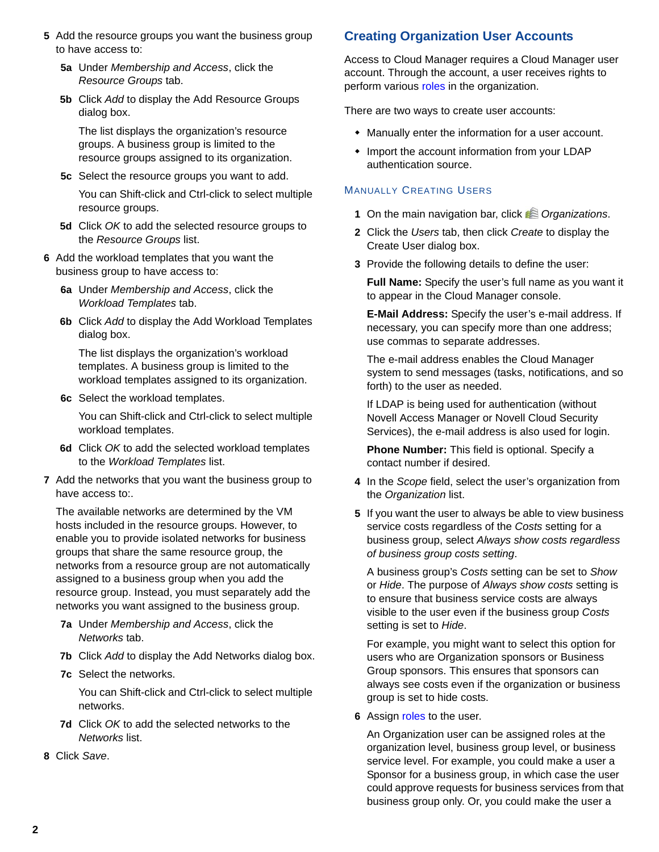- **5** Add the resource groups you want the business group to have access to:
	- **5a** Under *Membership and Access*, click the *Resource Groups* tab.
	- **5b** Click *Add* to display the Add Resource Groups dialog box.

The list displays the organization's resource groups. A business group is limited to the resource groups assigned to its organization.

**5c** Select the resource groups you want to add.

You can Shift-click and Ctrl-click to select multiple resource groups.

- **5d** Click *OK* to add the selected resource groups to the *Resource Groups* list.
- **6** Add the workload templates that you want the business group to have access to:
	- **6a** Under *Membership and Access*, click the *Workload Templates* tab.
	- **6b** Click *Add* to display the Add Workload Templates dialog box.

The list displays the organization's workload templates. A business group is limited to the workload templates assigned to its organization.

**6c** Select the workload templates.

You can Shift-click and Ctrl-click to select multiple workload templates.

- **6d** Click *OK* to add the selected workload templates to the *Workload Templates* list.
- **7** Add the networks that you want the business group to have access to:.

The available networks are determined by the VM hosts included in the resource groups. However, to enable you to provide isolated networks for business groups that share the same resource group, the networks from a resource group are not automatically assigned to a business group when you add the resource group. Instead, you must separately add the networks you want assigned to the business group.

- **7a** Under *Membership and Access*, click the *Networks* tab.
- **7b** Click *Add* to display the Add Networks dialog box.
- **7c** Select the networks.

You can Shift-click and Ctrl-click to select multiple networks.

- **7d** Click *OK* to add the selected networks to the *Networks* list.
- **8** Click *Save*.

## **Creating Organization User Accounts**

Access to Cloud Manager requires a Cloud Manager user account. Through the account, a user receives rights to perform various [roles](#page-5-0) in the organization.

There are two ways to create user accounts:

- Manually enter the information for a user account.
- Import the account information from your LDAP authentication source.

### MANUALLY CREATING USERS

- **1** On the main navigation bar, click *Organizations*.
- **2** Click the *Users* tab, then click *Create* to display the Create User dialog box.
- **3** Provide the following details to define the user:

**Full Name:** Specify the user's full name as you want it to appear in the Cloud Manager console.

**E-Mail Address:** Specify the user's e-mail address. If necessary, you can specify more than one address; use commas to separate addresses.

The e-mail address enables the Cloud Manager system to send messages (tasks, notifications, and so forth) to the user as needed.

If LDAP is being used for authentication (without Novell Access Manager or Novell Cloud Security Services), the e-mail address is also used for login.

**Phone Number:** This field is optional. Specify a contact number if desired.

- **4** In the *Scope* field, select the user's organization from the *Organization* list.
- **5** If you want the user to always be able to view business service costs regardless of the *Costs* setting for a business group, select *Always show costs regardless of business group costs setting*.

A business group's *Costs* setting can be set to *Show* or *Hide*. The purpose of *Always show costs* setting is to ensure that business service costs are always visible to the user even if the business group *Costs* setting is set to *Hide*.

For example, you might want to select this option for users who are Organization sponsors or Business Group sponsors. This ensures that sponsors can always see costs even if the organization or business group is set to hide costs.

**6** Assign roles to the user.

An Organization user can be assigned roles at the organization level, business group level, or business service level. For example, you could make a user a Sponsor for a business group, in which case the user could approve requests for business services from that business group only. Or, you could make the user a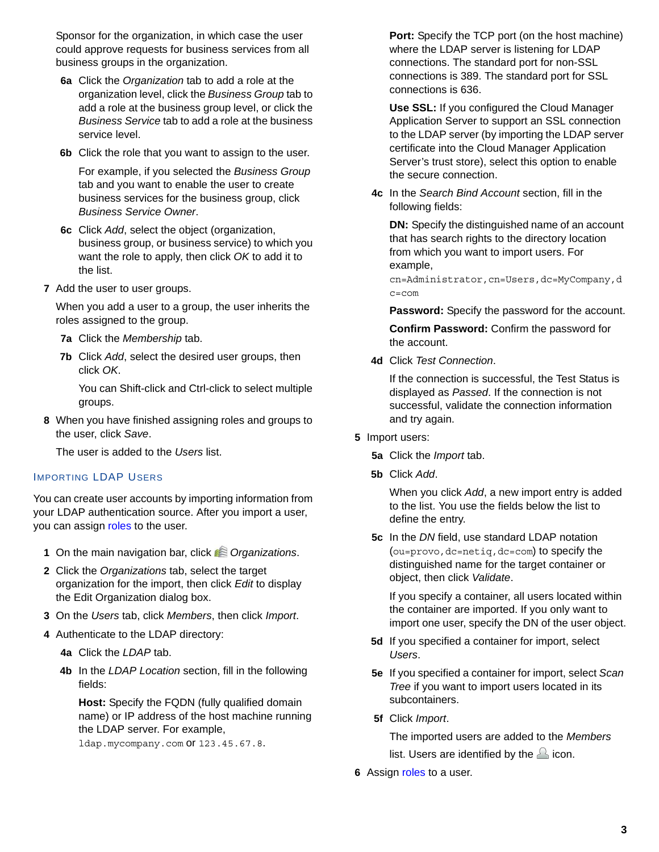Sponsor for the organization, in which case the user could approve requests for business services from all business groups in the organization.

- **6a** Click the *Organization* tab to add a role at the organization level, click the *Business Group* tab to add a role at the business group level, or click the *Business Service* tab to add a role at the business service level.
- **6b** Click the role that you want to assign to the user.

For example, if you selected the *Business Group* tab and you want to enable the user to create business services for the business group, click *Business Service Owner*.

- **6c** Click *Add*, select the object (organization, business group, or business service) to which you want the role to apply, then click *OK* to add it to the list.
- **7** Add the user to user groups.

When you add a user to a group, the user inherits the roles assigned to the group.

- **7a** Click the *Membership* tab.
- **7b** Click *Add*, select the desired user groups, then click *OK*.

You can Shift-click and Ctrl-click to select multiple groups.

**8** When you have finished assigning roles and groups to the user, click *Save*.

The user is added to the *Users* list.

#### IMPORTING LDAP USERS

You can create user accounts by importing information from your LDAP authentication source. After you import a user, you can assign [roles](#page-5-0) to the user.

- **1** On the main navigation bar, click *C* Organizations.
- **2** Click the *Organizations* tab, select the target organization for the import, then click *Edit* to display the Edit Organization dialog box.
- **3** On the *Users* tab, click *Members*, then click *Import*.
- **4** Authenticate to the LDAP directory:
	- **4a** Click the *LDAP* tab.
	- **4b** In the *LDAP Location* section, fill in the following fields:

**Host:** Specify the FQDN (fully qualified domain name) or IP address of the host machine running the LDAP server. For example,

ldap.mycompany.com or 123.45.67.8.

Port: Specify the TCP port (on the host machine) where the LDAP server is listening for LDAP connections. The standard port for non-SSL connections is 389. The standard port for SSL connections is 636.

**Use SSL:** If you configured the Cloud Manager Application Server to support an SSL connection to the LDAP server (by importing the LDAP server certificate into the Cloud Manager Application Server's trust store), select this option to enable the secure connection.

**4c** In the *Search Bind Account* section, fill in the following fields:

**DN:** Specify the distinguished name of an account that has search rights to the directory location from which you want to import users. For example,

cn=Administrator,cn=Users,dc=MyCompany,d c=com

**Password:** Specify the password for the account.

**Confirm Password:** Confirm the password for the account.

**4d** Click *Test Connection*.

If the connection is successful, the Test Status is displayed as *Passed*. If the connection is not successful, validate the connection information and try again.

- **5** Import users:
	- **5a** Click the *Import* tab.
	- **5b** Click *Add*.

When you click *Add*, a new import entry is added to the list. You use the fields below the list to define the entry.

**5c** In the *DN* field, use standard LDAP notation (ou=provo,dc=netiq,dc=com) to specify the distinguished name for the target container or object, then click *Validate*.

If you specify a container, all users located within the container are imported. If you only want to import one user, specify the DN of the user object.

- **5d** If you specified a container for import, select *Users*.
- **5e** If you specified a container for import, select *Scan Tree* if you want to import users located in its subcontainers.
- **5f** Click *Import*.

The imported users are added to the *Members* list. Users are identified by the  $\triangle$  icon.

**6** Assign roles to a user.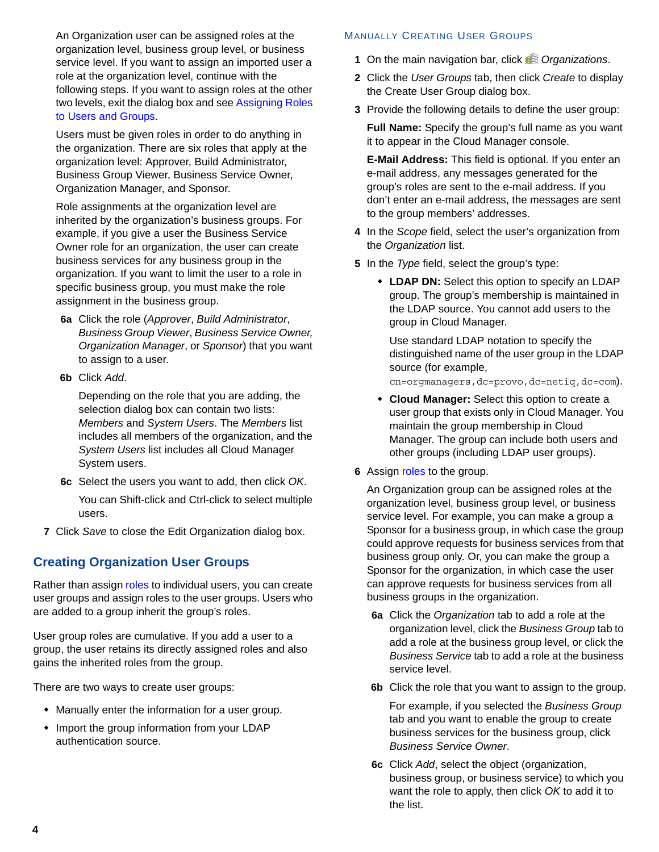An Organization user can be assigned roles at the organization level, business group level, or business service level. If you want to assign an imported user a role at the organization level, continue with the following steps. If you want to assign roles at the other two levels, exit the dialog box and see [Assigning Roles](#page-5-1)  [to Users and Groups](#page-5-1).

Users must be given roles in order to do anything in the organization. There are six roles that apply at the organization level: Approver, Build Administrator, Business Group Viewer, Business Service Owner, Organization Manager, and Sponsor.

Role assignments at the organization level are inherited by the organization's business groups. For example, if you give a user the Business Service Owner role for an organization, the user can create business services for any business group in the organization. If you want to limit the user to a role in specific business group, you must make the role assignment in the business group.

- **6a** Click the role (*Approver*, *Build Administrator*, *Business Group Viewer*, *Business Service Owner, Organization Manager*, or *Sponsor*) that you want to assign to a user.
- **6b** Click *Add*.

Depending on the role that you are adding, the selection dialog box can contain two lists: *Members* and *System Users*. The *Members* list includes all members of the organization, and the *System Users* list includes all Cloud Manager System users.

- **6c** Select the users you want to add, then click *OK*. You can Shift-click and Ctrl-click to select multiple users.
- **7** Click *Save* to close the Edit Organization dialog box.

### **Creating Organization User Groups**

Rather than assign [roles](#page-5-0) to individual users, you can create user groups and assign roles to the user groups. Users who are added to a group inherit the group's roles.

User group roles are cumulative. If you add a user to a group, the user retains its directly assigned roles and also gains the inherited roles from the group.

There are two ways to create user groups:

- Manually enter the information for a user group.
- Import the group information from your LDAP authentication source.

#### MANUALLY CREATING USER GROUPS

- **1** On the main navigation bar, click **8** Organizations.
- **2** Click the *User Groups* tab, then click *Create* to display the Create User Group dialog box.
- **3** Provide the following details to define the user group:

**Full Name:** Specify the group's full name as you want it to appear in the Cloud Manager console.

**E-Mail Address:** This field is optional. If you enter an e-mail address, any messages generated for the group's roles are sent to the e-mail address. If you don't enter an e-mail address, the messages are sent to the group members' addresses.

- **4** In the *Scope* field, select the user's organization from the *Organization* list.
- **5** In the *Type* field, select the group's type:
	- **LDAP DN:** Select this option to specify an LDAP group. The group's membership is maintained in the LDAP source. You cannot add users to the group in Cloud Manager.

Use standard LDAP notation to specify the distinguished name of the user group in the LDAP source (for example,

cn=orgmanagers,dc=provo,dc=netiq,dc=com).

- **Cloud Manager:** Select this option to create a user group that exists only in Cloud Manager. You maintain the group membership in Cloud Manager. The group can include both users and other groups (including LDAP user groups).
- **6** Assign roles to the group.

An Organization group can be assigned roles at the organization level, business group level, or business service level. For example, you can make a group a Sponsor for a business group, in which case the group could approve requests for business services from that business group only. Or, you can make the group a Sponsor for the organization, in which case the user can approve requests for business services from all business groups in the organization.

- **6a** Click the *Organization* tab to add a role at the organization level, click the *Business Group* tab to add a role at the business group level, or click the *Business Service* tab to add a role at the business service level.
- **6b** Click the role that you want to assign to the group.

For example, if you selected the *Business Group* tab and you want to enable the group to create business services for the business group, click *Business Service Owner*.

**6c** Click *Add*, select the object (organization, business group, or business service) to which you want the role to apply, then click *OK* to add it to the list.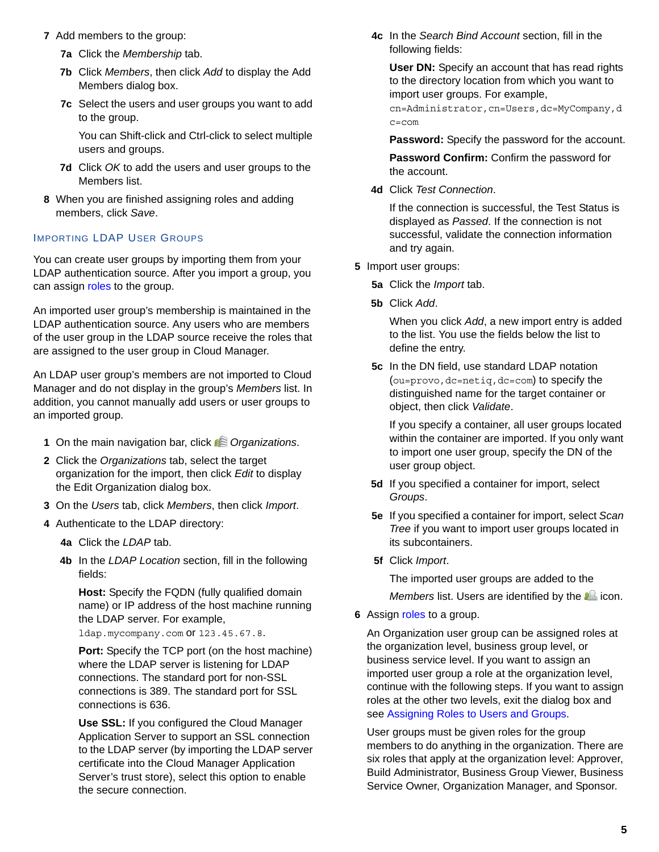- **7** Add members to the group:
	- **7a** Click the *Membership* tab.
	- **7b** Click *Members*, then click *Add* to display the Add Members dialog box.
	- **7c** Select the users and user groups you want to add to the group.

You can Shift-click and Ctrl-click to select multiple users and groups.

- **7d** Click *OK* to add the users and user groups to the Members list.
- **8** When you are finished assigning roles and adding members, click *Save*.

#### IMPORTING LDAP USER GROUPS

You can create user groups by importing them from your LDAP authentication source. After you import a group, you can assign [roles](#page-5-0) to the group.

An imported user group's membership is maintained in the LDAP authentication source. Any users who are members of the user group in the LDAP source receive the roles that are assigned to the user group in Cloud Manager.

An LDAP user group's members are not imported to Cloud Manager and do not display in the group's *Members* list. In addition, you cannot manually add users or user groups to an imported group.

- **1** On the main navigation bar, click *CR* Organizations.
- **2** Click the *Organizations* tab, select the target organization for the import, then click *Edit* to display the Edit Organization dialog box.
- **3** On the *Users* tab, click *Members*, then click *Import*.
- **4** Authenticate to the LDAP directory:
	- **4a** Click the *LDAP* tab.
	- **4b** In the *LDAP Location* section, fill in the following fields:

**Host:** Specify the FQDN (fully qualified domain name) or IP address of the host machine running the LDAP server. For example,

ldap.mycompany.com or 123.45.67.8.

**Port:** Specify the TCP port (on the host machine) where the LDAP server is listening for LDAP connections. The standard port for non-SSL connections is 389. The standard port for SSL connections is 636.

**Use SSL:** If you configured the Cloud Manager Application Server to support an SSL connection to the LDAP server (by importing the LDAP server certificate into the Cloud Manager Application Server's trust store), select this option to enable the secure connection.

**4c** In the *Search Bind Account* section, fill in the following fields:

**User DN:** Specify an account that has read rights to the directory location from which you want to import user groups. For example,

cn=Administrator,cn=Users,dc=MyCompany,d c=com

**Password:** Specify the password for the account.

**Password Confirm:** Confirm the password for the account.

**4d** Click *Test Connection*.

If the connection is successful, the Test Status is displayed as *Passed*. If the connection is not successful, validate the connection information and try again.

- **5** Import user groups:
	- **5a** Click the *Import* tab.
	- **5b** Click *Add*.

When you click *Add*, a new import entry is added to the list. You use the fields below the list to define the entry.

**5c** In the DN field, use standard LDAP notation (ou=provo,dc=netiq,dc=com) to specify the distinguished name for the target container or object, then click *Validate*.

If you specify a container, all user groups located within the container are imported. If you only want to import one user group, specify the DN of the user group object.

- **5d** If you specified a container for import, select *Groups*.
- **5e** If you specified a container for import, select *Scan Tree* if you want to import user groups located in its subcontainers.
- **5f** Click *Import*.

The imported user groups are added to the

*Members* list. Users are identified by the  $\triangle$  icon.

**6** Assign roles to a group.

An Organization user group can be assigned roles at the organization level, business group level, or business service level. If you want to assign an imported user group a role at the organization level, continue with the following steps. If you want to assign roles at the other two levels, exit the dialog box and see [Assigning Roles to Users and Groups](#page-5-1).

User groups must be given roles for the group members to do anything in the organization. There are six roles that apply at the organization level: Approver, Build Administrator, Business Group Viewer, Business Service Owner, Organization Manager, and Sponsor.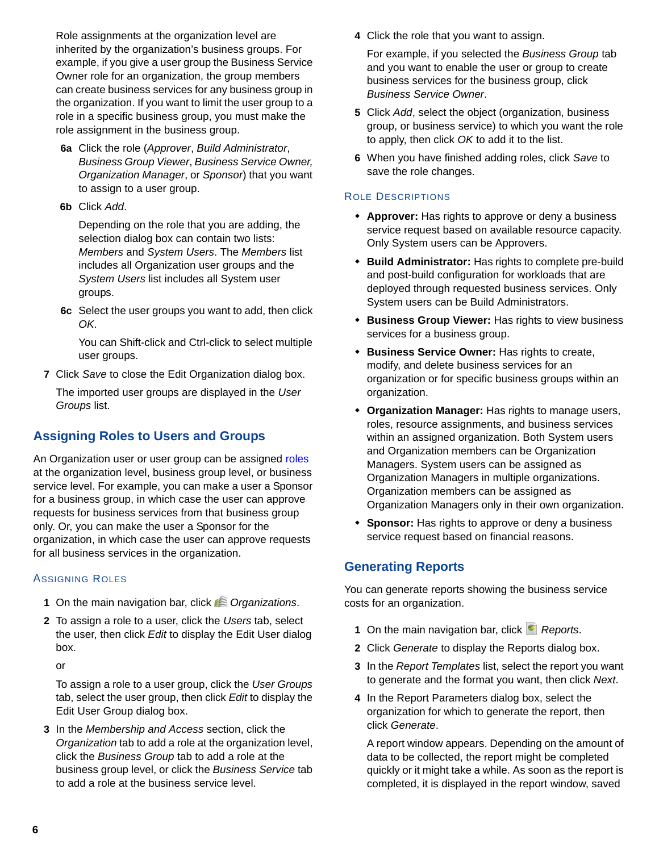Role assignments at the organization level are inherited by the organization's business groups. For example, if you give a user group the Business Service Owner role for an organization, the group members can create business services for any business group in the organization. If you want to limit the user group to a role in a specific business group, you must make the role assignment in the business group.

- **6a** Click the role (*Approver*, *Build Administrator*, *Business Group Viewer*, *Business Service Owner, Organization Manager*, or *Sponsor*) that you want to assign to a user group.
- **6b** Click *Add*.

Depending on the role that you are adding, the selection dialog box can contain two lists: *Members* and *System Users*. The *Members* list includes all Organization user groups and the *System Users* list includes all System user groups.

**6c** Select the user groups you want to add, then click *OK*.

You can Shift-click and Ctrl-click to select multiple user groups.

**7** Click *Save* to close the Edit Organization dialog box.

The imported user groups are displayed in the *User Groups* list.

# <span id="page-5-1"></span>**Assigning Roles to Users and Groups**

An Organization user or user group can be assigned [roles](#page-5-0) at the organization level, business group level, or business service level. For example, you can make a user a Sponsor for a business group, in which case the user can approve requests for business services from that business group only. Or, you can make the user a Sponsor for the organization, in which case the user can approve requests for all business services in the organization.

#### ASSIGNING ROLES

- **1** On the main navigation bar, click *Organizations*.
- **2** To assign a role to a user, click the *Users* tab, select the user, then click *Edit* to display the Edit User dialog box.

or

To assign a role to a user group, click the *User Groups* tab, select the user group, then click *Edit* to display the Edit User Group dialog box.

**3** In the *Membership and Access* section, click the *Organization* tab to add a role at the organization level, click the *Business Group* tab to add a role at the business group level, or click the *Business Service* tab to add a role at the business service level.

**4** Click the role that you want to assign.

For example, if you selected the *Business Group* tab and you want to enable the user or group to create business services for the business group, click *Business Service Owner*.

- **5** Click *Add*, select the object (organization, business group, or business service) to which you want the role to apply, then click *OK* to add it to the list.
- **6** When you have finished adding roles, click *Save* to save the role changes.

#### ROLE DESCRIPTIONS

- <span id="page-5-0"></span> **Approver:** Has rights to approve or deny a business service request based on available resource capacity. Only System users can be Approvers.
- **Build Administrator:** Has rights to complete pre-build and post-build configuration for workloads that are deployed through requested business services. Only System users can be Build Administrators.
- **Business Group Viewer:** Has rights to view business services for a business group.
- **Business Service Owner:** Has rights to create, modify, and delete business services for an organization or for specific business groups within an organization.
- **Organization Manager:** Has rights to manage users, roles, resource assignments, and business services within an assigned organization. Both System users and Organization members can be Organization Managers. System users can be assigned as Organization Managers in multiple organizations. Organization members can be assigned as Organization Managers only in their own organization.
- **Sponsor:** Has rights to approve or deny a business service request based on financial reasons.

### **Generating Reports**

You can generate reports showing the business service costs for an organization.

- 1 On the main navigation bar, click **Reports**.
- **2** Click *Generate* to display the Reports dialog box.
- **3** In the *Report Templates* list, select the report you want to generate and the format you want, then click *Next*.
- **4** In the Report Parameters dialog box, select the organization for which to generate the report, then click *Generate*.

A report window appears. Depending on the amount of data to be collected, the report might be completed quickly or it might take a while. As soon as the report is completed, it is displayed in the report window, saved